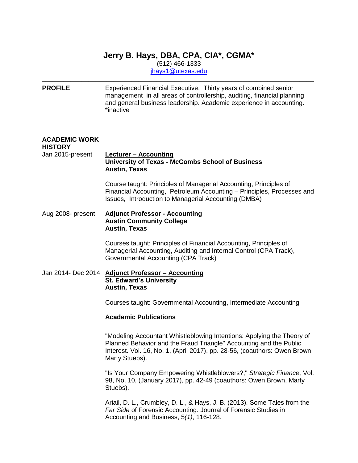# **Jerry B. Hays, DBA, CPA, CIA\*, CGMA\***

(512) 466-1333

[jhays1@utexas.edu](mailto:jhays1@utexas.edu) \_\_\_\_\_\_\_\_\_\_\_\_\_\_\_\_\_\_\_\_\_\_\_\_\_\_\_\_\_\_\_\_\_\_\_\_\_\_\_\_\_\_\_\_\_\_\_\_\_\_\_\_\_\_\_\_\_\_\_\_\_\_\_\_\_\_\_\_\_\_\_\_\_\_\_\_

**PROFILE** Experienced Financial Executive. Thirty years of combined senior management in all areas of controllership, auditing, financial planning and general business leadership. Academic experience in accounting. \*inactive

# **ACADEMIC WORK**

### **HISTORY**

### Jan 2015-present **Lecturer – Accounting University of Texas - McCombs School of Business Austin, Texas**

Course taught: Principles of Managerial Accounting, Principles of Financial Accounting, Petroleum Accounting – Principles, Processes and Issues**,** Introduction to Managerial Accounting (DMBA)

### Aug 2008- present **Adjunct Professor - Accounting Austin Community College Austin, Texas**

Courses taught: Principles of Financial Accounting, Principles of Managerial Accounting, Auditing and Internal Control (CPA Track), Governmental Accounting (CPA Track)

## Jan 2014- Dec 2014 **Adjunct Professor – Accounting St. Edward's University Austin, Texas**

Courses taught: Governmental Accounting, Intermediate Accounting

### **Academic Publications**

"Modeling Accountant Whistleblowing Intentions: Applying the Theory of Planned Behavior and the Fraud Triangle" Accounting and the Public Interest. Vol. 16, No. 1, (April 2017), pp. 28-56, (coauthors: Owen Brown, Marty Stuebs).

"Is Your Company Empowering Whistleblowers?," *Strategic Finance*, Vol. 98, No. 10, (January 2017), pp. 42-49 (coauthors: Owen Brown, Marty Stuebs).

Ariail, D. L., Crumbley, D. L., & Hays, J. B. (2013). Some Tales from the *Far Side* of Forensic Accounting. Journal of Forensic Studies in Accounting and Business, 5*(1)*, 116-128.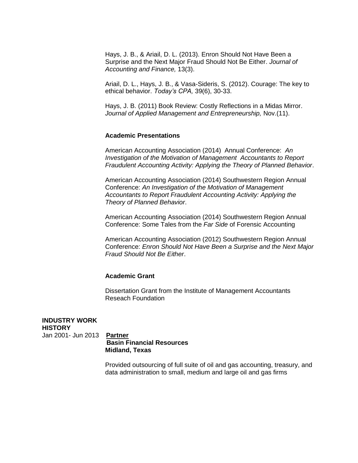Hays, J. B., & Ariail, D. L. (2013). Enron Should Not Have Been a Surprise and the Next Major Fraud Should Not Be Either. *Journal of Accounting and Finance,* 13(3).

Ariail, D. L., Hays, J. B., & Vasa-Sideris, S. (2012). Courage: The key to ethical behavior. *Today's CPA,* 39(6), 30-33.

Hays, J. B. (2011) Book Review: Costly Reflections in a Midas Mirror. *Journal of Applied Management and Entrepreneurship,* Nov.(11).

### **Academic Presentations**

American Accounting Association (2014) Annual Conference: *An Investigation of the Motivation of Management Accountants to Report Fraudulent Accounting Activity: Applying the Theory of Planned Behavior*.

American Accounting Association (2014) Southwestern Region Annual Conference: *An Investigation of the Motivation of Management Accountants to Report Fraudulent Accounting Activity: Applying the Theory of Planned Behavior*.

American Accounting Association (2014) Southwestern Region Annual Conference: Some Tales from the *Far Side* of Forensic Accounting

American Accounting Association (2012) Southwestern Region Annual Conference: *Enron Should Not Have Been a Surprise and the Next Major Fraud Should Not Be Either*.

### **Academic Grant**

Dissertation Grant from the Institute of Management Accountants Reseach Foundation

# **INDUSTRY WORK HISTORY**

Jan 2001- Jun 2013 **Partner**

# **Basin Financial Resources Midland, Texas**

Provided outsourcing of full suite of oil and gas accounting, treasury, and data administration to small, medium and large oil and gas firms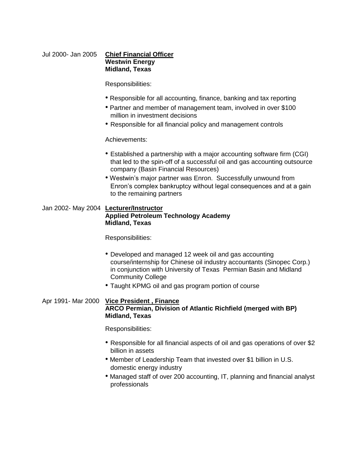# Jul 2000- Jan 2005 **Chief Financial Officer Westwin Energy Midland, Texas**

Responsibilities:

- Responsible for all accounting, finance, banking and tax reporting
- Partner and member of management team, involved in over \$100 million in investment decisions
- Responsible for all financial policy and management controls

### Achievements:

- Established a partnership with a major accounting software firm (CGI) that led to the spin-off of a successful oil and gas accounting outsource company (Basin Financial Resources)
- Westwin's major partner was Enron. Successfully unwound from Enron's complex bankruptcy without legal consequences and at a gain to the remaining partners

## Jan 2002- May 2004 **Lecturer/Instructor Applied Petroleum Technology Academy Midland, Texas**

Responsibilities:

- Developed and managed 12 week oil and gas accounting course/internship for Chinese oil industry accountants (Sinopec Corp.) in conjunction with University of Texas Permian Basin and Midland Community College
- Taught KPMG oil and gas program portion of course

### Apr 1991- Mar 2000 **Vice President , Finance ARCO Permian, Division of Atlantic Richfield (merged with BP) Midland, Texas**

Responsibilities:

- Responsible for all financial aspects of oil and gas operations of over \$2 billion in assets
- Member of Leadership Team that invested over \$1 billion in U.S. domestic energy industry
- Managed staff of over 200 accounting, IT, planning and financial analyst professionals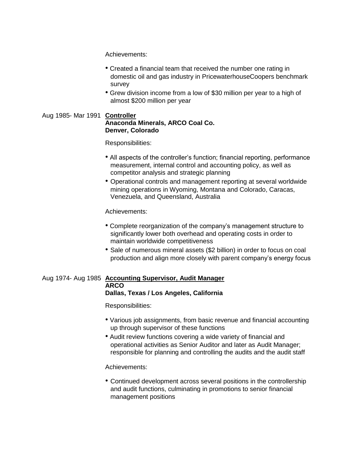Achievements:

- Created a financial team that received the number one rating in domestic oil and gas industry in PricewaterhouseCoopers benchmark survey
- Grew division income from a low of \$30 million per year to a high of almost \$200 million per year

### Aug 1985- Mar 1991 **Controller Anaconda Minerals, ARCO Coal Co. Denver, Colorado**

Responsibilities:

- All aspects of the controller's function; financial reporting, performance measurement, internal control and accounting policy, as well as competitor analysis and strategic planning
- Operational controls and management reporting at several worldwide mining operations in Wyoming, Montana and Colorado, Caracas, Venezuela, and Queensland, Australia

### Achievements:

- Complete reorganization of the company's management structure to significantly lower both overhead and operating costs in order to maintain worldwide competitiveness
- Sale of numerous mineral assets (\$2 billion) in order to focus on coal production and align more closely with parent company's energy focus

#### Aug 1974- Aug 1985 **Accounting Supervisor, Audit Manager ARCO Dallas, Texas / Los Angeles, California**

Responsibilities:

- Various job assignments, from basic revenue and financial accounting up through supervisor of these functions
- Audit review functions covering a wide variety of financial and operational activities as Senior Auditor and later as Audit Manager; responsible for planning and controlling the audits and the audit staff

### Achievements:

• Continued development across several positions in the controllership and audit functions, culminating in promotions to senior financial management positions